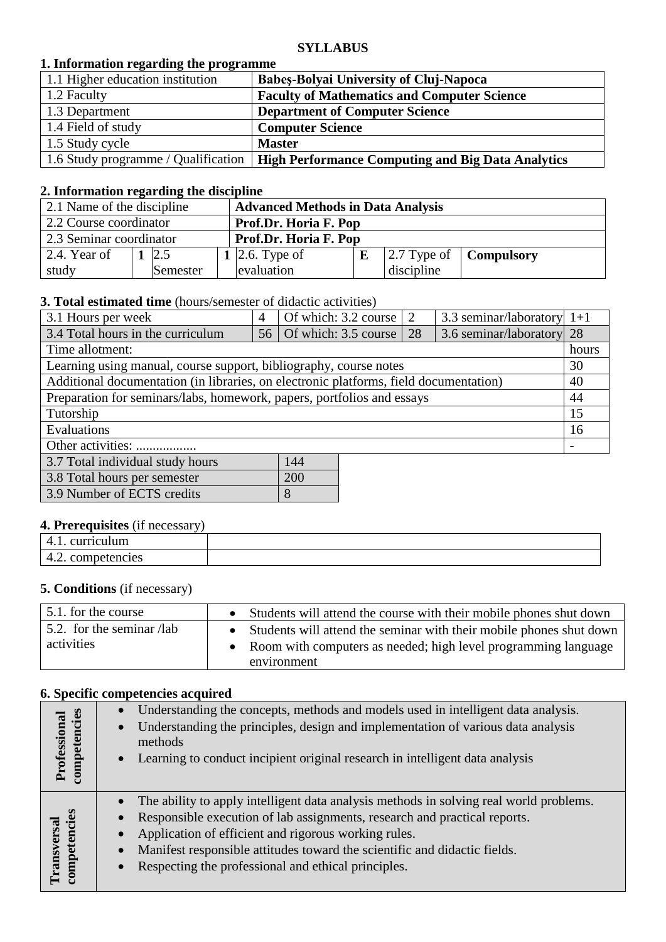#### **SYLLABUS**

## **1. Information regarding the programme**

| 1.1 Higher education institution    | <b>Babes-Bolyai University of Cluj-Napoca</b>            |
|-------------------------------------|----------------------------------------------------------|
| 1.2 Faculty                         | <b>Faculty of Mathematics and Computer Science</b>       |
| 1.3 Department                      | <b>Department of Computer Science</b>                    |
| 1.4 Field of study                  | <b>Computer Science</b>                                  |
| 1.5 Study cycle                     | <b>Master</b>                                            |
| 1.6 Study programme / Qualification | <b>High Performance Computing and Big Data Analytics</b> |

#### **2. Information regarding the discipline**

| 2.1 Name of the discipline |          | <b>Advanced Methods in Data Analysis</b> |  |            |                                               |
|----------------------------|----------|------------------------------------------|--|------------|-----------------------------------------------|
| 2.2 Course coordinator     |          | Prof.Dr. Horia F. Pop                    |  |            |                                               |
| 2.3 Seminar coordinator    |          | Prof.Dr. Horia F. Pop                    |  |            |                                               |
| 2.4. Year of               | 2.5      | 1 2.6. Type of                           |  |            | $\vert 2.7$ Type of $\vert$ <b>Compulsory</b> |
| study                      | Semester | evaluation                               |  | discipline |                                               |

### **3. Total estimated time** (hours/semester of didactic activities)

| 3.1 Hours per week                                                                    | 4 | Of which: $3.2 \text{ course}$   2 |  | 3.3 seminar/laboratory $1+1$ |    |  |
|---------------------------------------------------------------------------------------|---|------------------------------------|--|------------------------------|----|--|
| 3.4 Total hours in the curriculum                                                     |   | 56   Of which: 3.5 course   28     |  | 3.6 seminar/laboratory 28    |    |  |
| Time allotment:                                                                       |   |                                    |  |                              |    |  |
| Learning using manual, course support, bibliography, course notes                     |   |                                    |  |                              | 30 |  |
| Additional documentation (in libraries, on electronic platforms, field documentation) |   |                                    |  |                              |    |  |
| Preparation for seminars/labs, homework, papers, portfolios and essays                |   |                                    |  |                              |    |  |
| Tutorship                                                                             |   |                                    |  |                              |    |  |
| Evaluations                                                                           |   |                                    |  |                              |    |  |
| Other activities:                                                                     |   |                                    |  |                              |    |  |
| 3.7 Total individual study hours<br>144                                               |   |                                    |  |                              |    |  |

| 3.8 Total hours per semester | 200 |
|------------------------------|-----|
| 3.9 Number of ECTS credits   |     |
|                              |     |

# **4. Prerequisites** (if necessary)

| ^1 |  |
|----|--|
| .  |  |

# **5. Conditions** (if necessary)

| 5.1. for the course       | Students will attend the course with their mobile phones shut down    |
|---------------------------|-----------------------------------------------------------------------|
| 5.2. for the seminar /lab | • Students will attend the seminar with their mobile phones shut down |
| activities                | • Room with computers as needed; high level programming language      |
|                           | environment                                                           |

#### **6. Specific competencies acquired**

| Professional<br>competencies             | Understanding the concepts, methods and models used in intelligent data analysis.<br>Understanding the principles, design and implementation of various data analysis<br>$\bullet$<br>methods<br>Learning to conduct incipient original research in intelligent data analysis<br>$\bullet$                                                                                                                          |
|------------------------------------------|---------------------------------------------------------------------------------------------------------------------------------------------------------------------------------------------------------------------------------------------------------------------------------------------------------------------------------------------------------------------------------------------------------------------|
| petencies<br>Transversal<br>$_{\rm com}$ | The ability to apply intelligent data analysis methods in solving real world problems.<br>$\bullet$<br>Responsible execution of lab assignments, research and practical reports.<br>Application of efficient and rigorous working rules.<br>$\bullet$<br>Manifest responsible attitudes toward the scientific and didactic fields.<br>$\bullet$<br>Respecting the professional and ethical principles.<br>$\bullet$ |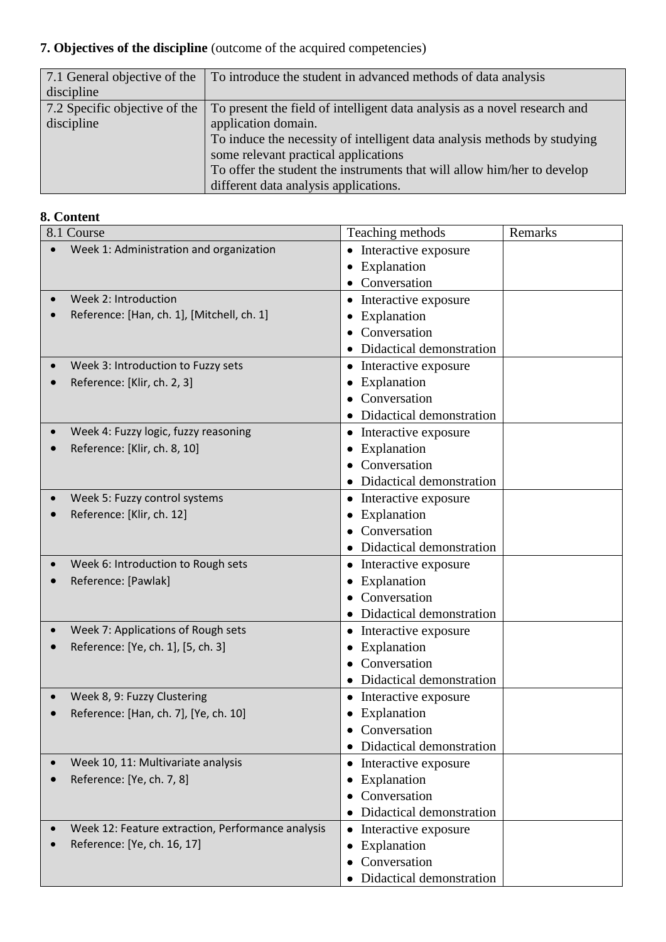# **7. Objectives of the discipline** (outcome of the acquired competencies)

| 7.1 General objective of the  | To introduce the student in advanced methods of data analysis             |
|-------------------------------|---------------------------------------------------------------------------|
| discipline                    |                                                                           |
| 7.2 Specific objective of the | To present the field of intelligent data analysis as a novel research and |
| discipline                    | application domain.                                                       |
|                               | To induce the necessity of intelligent data analysis methods by studying  |
|                               | some relevant practical applications                                      |
|                               | To offer the student the instruments that will allow him/her to develop   |
|                               | different data analysis applications.                                     |

# **8. Content**

| 8.1 Course                                        | Teaching methods                  | Remarks |
|---------------------------------------------------|-----------------------------------|---------|
| Week 1: Administration and organization           | Interactive exposure<br>$\bullet$ |         |
|                                                   | Explanation<br>$\bullet$          |         |
|                                                   | Conversation                      |         |
| Week 2: Introduction                              | Interactive exposure<br>$\bullet$ |         |
| Reference: [Han, ch. 1], [Mitchell, ch. 1]        | Explanation<br>$\bullet$          |         |
|                                                   | Conversation                      |         |
|                                                   | Didactical demonstration          |         |
| Week 3: Introduction to Fuzzy sets                | Interactive exposure<br>٠         |         |
| Reference: [Klir, ch. 2, 3]                       | Explanation                       |         |
|                                                   | Conversation                      |         |
|                                                   | • Didactical demonstration        |         |
| Week 4: Fuzzy logic, fuzzy reasoning              | Interactive exposure<br>$\bullet$ |         |
| Reference: [Klir, ch. 8, 10]                      | Explanation<br>٠                  |         |
|                                                   | Conversation                      |         |
|                                                   | • Didactical demonstration        |         |
| Week 5: Fuzzy control systems                     | Interactive exposure<br>٠         |         |
| Reference: [Klir, ch. 12]                         | Explanation<br>٠                  |         |
|                                                   | Conversation                      |         |
|                                                   | Didactical demonstration<br>٠     |         |
| Week 6: Introduction to Rough sets                | • Interactive exposure            |         |
| Reference: [Pawlak]                               | Explanation<br>٠                  |         |
|                                                   | Conversation                      |         |
|                                                   | Didactical demonstration          |         |
| Week 7: Applications of Rough sets                | Interactive exposure<br>$\bullet$ |         |
| Reference: [Ye, ch. 1], [5, ch. 3]                | Explanation                       |         |
|                                                   | Conversation                      |         |
|                                                   | Didactical demonstration          |         |
| Week 8, 9: Fuzzy Clustering                       | • Interactive exposure            |         |
| Reference: [Han, ch. 7], [Ye, ch. 10]             | Explanation<br>٠                  |         |
|                                                   | • Conversation                    |         |
|                                                   | Didactical demonstration          |         |
| Week 10, 11: Multivariate analysis                | Interactive exposure<br>٠         |         |
| Reference: [Ye, ch. 7, 8]                         | Explanation<br>٠                  |         |
|                                                   | Conversation<br>٠                 |         |
|                                                   | Didactical demonstration          |         |
| Week 12: Feature extraction, Performance analysis | Interactive exposure<br>٠         |         |
| Reference: [Ye, ch. 16, 17]                       | Explanation<br>٠                  |         |
|                                                   | Conversation                      |         |
|                                                   | Didactical demonstration          |         |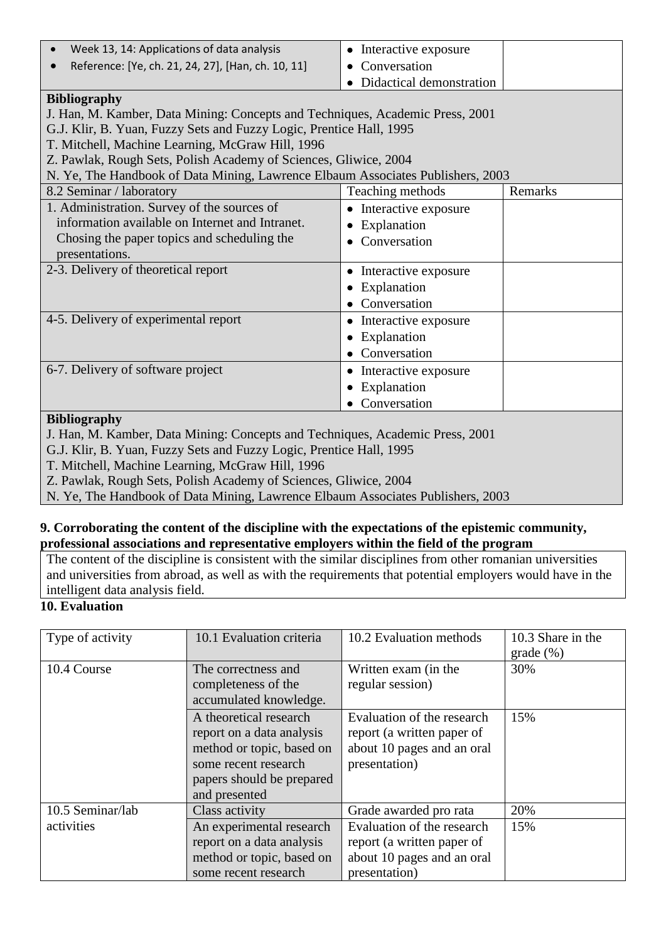| Week 13, 14: Applications of data analysis                                      | • Interactive exposure   |         |
|---------------------------------------------------------------------------------|--------------------------|---------|
| Reference: [Ye, ch. 21, 24, 27], [Han, ch. 10, 11]                              | Conversation             |         |
|                                                                                 | Didactical demonstration |         |
| <b>Bibliography</b>                                                             |                          |         |
| J. Han, M. Kamber, Data Mining: Concepts and Techniques, Academic Press, 2001   |                          |         |
| G.J. Klir, B. Yuan, Fuzzy Sets and Fuzzy Logic, Prentice Hall, 1995             |                          |         |
| T. Mitchell, Machine Learning, McGraw Hill, 1996                                |                          |         |
| Z. Pawlak, Rough Sets, Polish Academy of Sciences, Gliwice, 2004                |                          |         |
| N. Ye, The Handbook of Data Mining, Lawrence Elbaum Associates Publishers, 2003 |                          |         |
| 8.2 Seminar / laboratory                                                        | Teaching methods         | Remarks |
| 1. Administration. Survey of the sources of                                     | Interactive exposure     |         |
| information available on Internet and Intranet.                                 | Explanation              |         |
| Chosing the paper topics and scheduling the                                     | Conversation             |         |
| presentations.                                                                  |                          |         |
| 2-3. Delivery of theoretical report                                             | Interactive exposure     |         |
|                                                                                 | Explanation              |         |
|                                                                                 | Conversation             |         |
| 4-5. Delivery of experimental report                                            | • Interactive exposure   |         |
|                                                                                 | Explanation              |         |
|                                                                                 | Conversation             |         |
| 6-7. Delivery of software project                                               | Interactive exposure     |         |
|                                                                                 | Explanation              |         |
|                                                                                 | Conversation             |         |
| <b>Bibliography</b>                                                             |                          |         |
|                                                                                 |                          |         |

J. Han, M. Kamber, Data Mining: Concepts and Techniques, Academic Press, 2001

G.J. Klir, B. Yuan, Fuzzy Sets and Fuzzy Logic, Prentice Hall, 1995

T. Mitchell, Machine Learning, McGraw Hill, 1996

Z. Pawlak, Rough Sets, Polish Academy of Sciences, Gliwice, 2004

N. Ye, The Handbook of Data Mining, Lawrence Elbaum Associates Publishers, 2003

#### **9. Corroborating the content of the discipline with the expectations of the epistemic community, professional associations and representative employers within the field of the program**

The content of the discipline is consistent with the similar disciplines from other romanian universities and universities from abroad, as well as with the requirements that potential employers would have in the intelligent data analysis field.

## **10. Evaluation**

| Type of activity | 10.1 Evaluation criteria                                                                                                                               | 10.2 Evaluation methods                                                                                 | 10.3 Share in the<br>grade (%) |
|------------------|--------------------------------------------------------------------------------------------------------------------------------------------------------|---------------------------------------------------------------------------------------------------------|--------------------------------|
| 10.4 Course      | The correctness and<br>completeness of the<br>accumulated knowledge.                                                                                   | Written exam (in the<br>regular session)                                                                | 30%                            |
|                  | A theoretical research<br>report on a data analysis<br>method or topic, based on<br>some recent research<br>papers should be prepared<br>and presented | Evaluation of the research<br>report (a written paper of<br>about 10 pages and an oral<br>presentation) | 15%                            |
| 10.5 Seminar/lab | Class activity                                                                                                                                         | Grade awarded pro rata                                                                                  | 20%                            |
| activities       | An experimental research<br>report on a data analysis<br>method or topic, based on<br>some recent research                                             | Evaluation of the research<br>report (a written paper of<br>about 10 pages and an oral<br>presentation) | 15%                            |